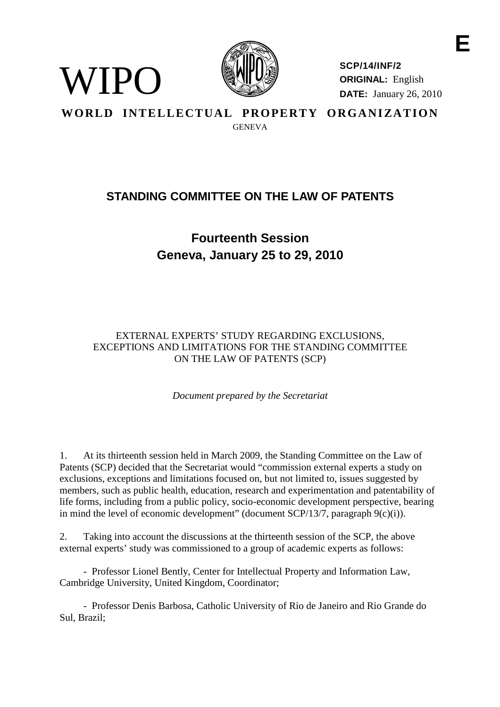

WIPO

**SCP/14/INF/2 ORIGINAL:** English **DATE:** January 26, 2010

**WORLD INTELLECTUAL PROPERTY ORGANIZATION**

**GENEVA** 

## **STANDING COMMITTEE ON THE LAW OF PATENTS**

## **Fourteenth Session Geneva, January 25 to 29, 2010**

## EXTERNAL EXPERTS' STUDY REGARDING EXCLUSIONS, EXCEPTIONS AND LIMITATIONS FOR THE STANDING COMMITTEE ON THE LAW OF PATENTS (SCP)

*Document prepared by the Secretariat*

1. At its thirteenth session held in March 2009, the Standing Committee on the Law of Patents (SCP) decided that the Secretariat would "commission external experts a study on exclusions, exceptions and limitations focused on, but not limited to, issues suggested by members, such as public health, education, research and experimentation and patentability of life forms, including from a public policy, socio-economic development perspective, bearing in mind the level of economic development" (document SCP/13/7, paragraph  $9(c)(i)$ ).

2. Taking into account the discussions at the thirteenth session of the SCP, the above external experts' study was commissioned to a group of academic experts as follows:

- Professor Lionel Bently, Center for Intellectual Property and Information Law, Cambridge University, United Kingdom, Coordinator;

- Professor Denis Barbosa, Catholic University of Rio de Janeiro and Rio Grande do Sul, Brazil;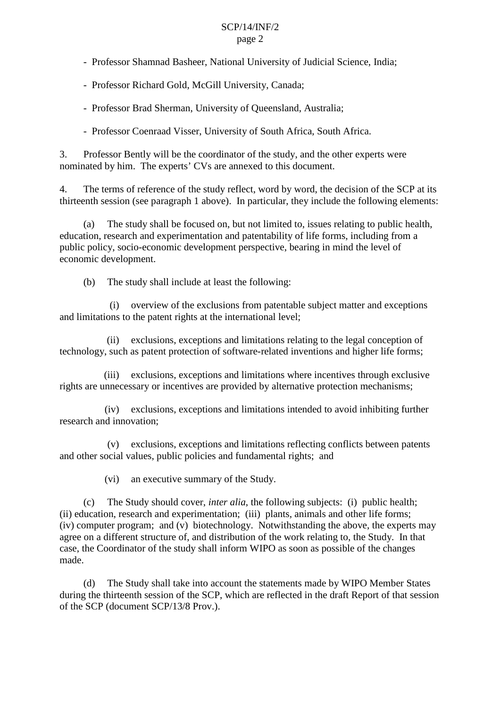#### SCP/14/INF/2 page 2

- Professor Shamnad Basheer, National University of Judicial Science, India;
- Professor Richard Gold, McGill University, Canada;
- Professor Brad Sherman, University of Queensland, Australia;
- Professor Coenraad Visser, University of South Africa, South Africa.

3. Professor Bently will be the coordinator of the study, and the other experts were nominated by him. The experts' CVs are annexed to this document.

4. The terms of reference of the study reflect, word by word, the decision of the SCP at its thirteenth session (see paragraph 1 above). In particular, they include the following elements:

(a) The study shall be focused on, but not limited to, issues relating to public health, education, research and experimentation and patentability of life forms, including from a public policy, socio-economic development perspective, bearing in mind the level of economic development.

(b) The study shall include at least the following:

(i) overview of the exclusions from patentable subject matter and exceptions and limitations to the patent rights at the international level;

(ii) exclusions, exceptions and limitations relating to the legal conception of technology, such as patent protection of software-related inventions and higher life forms;

(iii) exclusions, exceptions and limitations where incentives through exclusive rights are unnecessary or incentives are provided by alternative protection mechanisms;

(iv) exclusions, exceptions and limitations intended to avoid inhibiting further research and innovation;

(v) exclusions, exceptions and limitations reflecting conflicts between patents and other social values, public policies and fundamental rights; and

(vi) an executive summary of the Study.

(c) The Study should cover, *inter alia*, the following subjects: (i) public health; (ii) education, research and experimentation; (iii) plants, animals and other life forms; (iv) computer program; and (v) biotechnology. Notwithstanding the above, the experts may agree on a different structure of, and distribution of the work relating to, the Study. In that case, the Coordinator of the study shall inform WIPO as soon as possible of the changes made.

(d) The Study shall take into account the statements made by WIPO Member States during the thirteenth session of the SCP, which are reflected in the draft Report of that session of the SCP (document SCP/13/8 Prov.).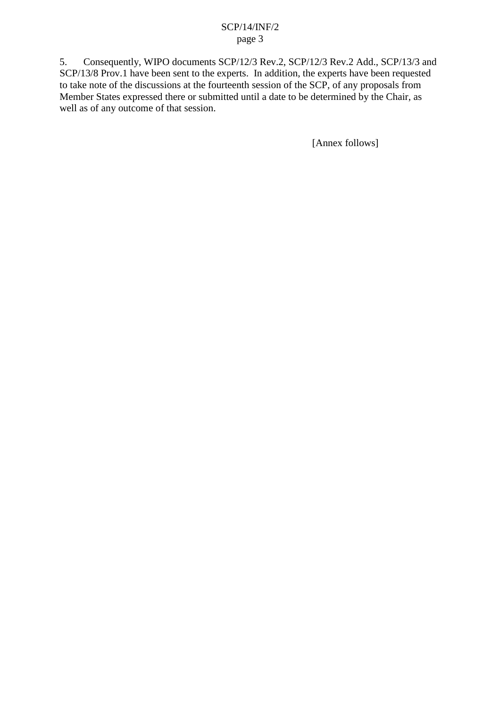## SCP/14/INF/2 page 3

5. Consequently, WIPO documents SCP/12/3 Rev.2, SCP/12/3 Rev.2 Add., SCP/13/3 and SCP/13/8 Prov.1 have been sent to the experts. In addition, the experts have been requested to take note of the discussions at the fourteenth session of the SCP, of any proposals from Member States expressed there or submitted until a date to be determined by the Chair, as well as of any outcome of that session.

[Annex follows]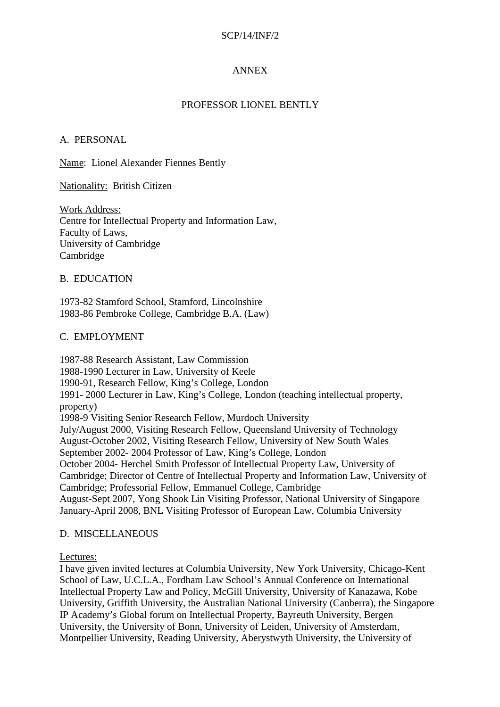## SCP/14/INF/2

## ANNEX

## PROFESSOR LIONEL BENTLY

### A. PERSONAL

Name: Lionel Alexander Fiennes Bently

#### Nationality: British Citizen

Work Address: Centre for Intellectual Property and Information Law, Faculty of Laws, University of Cambridge Cambridge

#### B. EDUCATION

1973-82 Stamford School, Stamford, Lincolnshire 1983-86 Pembroke College, Cambridge B.A. (Law)

#### C. EMPLOYMENT

1987-88 Research Assistant, Law Commission 1988-1990 Lecturer in Law, University of Keele 1990-91, Research Fellow, King's College, London 1991- 2000 Lecturer in Law, King's College, London (teaching intellectual property, property) 1998-9 Visiting Senior Research Fellow, Murdoch University July/August 2000, Visiting Research Fellow, Queensland University of Technology August-October 2002, Visiting Research Fellow, University of New South Wales September 2002- 2004 Professor of Law, King's College, London October 2004- Herchel Smith Professor of Intellectual Property Law, University of Cambridge; Director of Centre of Intellectual Property and Information Law, University of Cambridge; Professorial Fellow, Emmanuel College, Cambridge August-Sept 2007, Yong Shook Lin Visiting Professor, National University of Singapore January-April 2008, BNL Visiting Professor of European Law, Columbia University

#### D. MISCELLANEOUS

### Lectures:

I have given invited lectures at Columbia University, New York University, Chicago-Kent School of Law, U.C.L.A., Fordham Law School's Annual Conference on International Intellectual Property Law and Policy, McGill University, University of Kanazawa, Kobe University, Griffith University, the Australian National University (Canberra), the Singapore IP Academy's Global forum on Intellectual Property, Bayreuth University, Bergen University, the University of Bonn, University of Leiden, University of Amsterdam, Montpellier University, Reading University, Aberystwyth University, the University of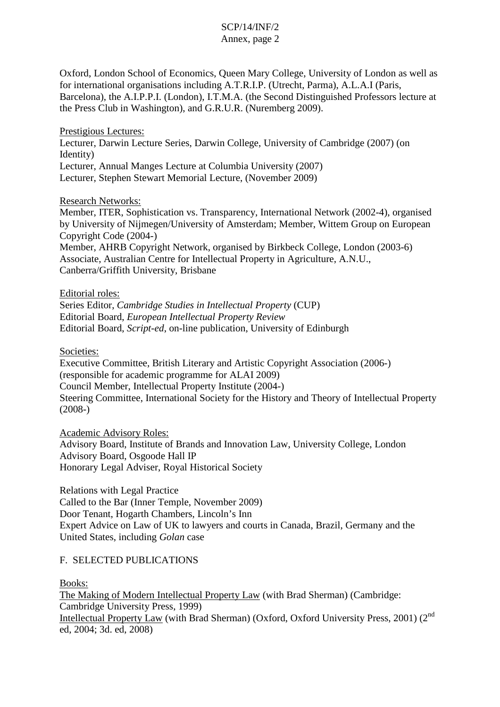# SCP/14/INF/2

## Annex, page 2

Oxford, London School of Economics, Queen Mary College, University of London as well as for international organisations including A.T.R.I.P. (Utrecht, Parma), A.L.A.I (Paris, Barcelona), the A.I.P.P.I. (London), I.T.M.A. (the Second Distinguished Professors lecture at the Press Club in Washington), and G.R.U.R. (Nuremberg 2009).

Prestigious Lectures:

Lecturer, Darwin Lecture Series, Darwin College, University of Cambridge (2007) (on Identity) Lecturer, Annual Manges Lecture at Columbia University (2007)

Lecturer, Stephen Stewart Memorial Lecture, (November 2009)

Research Networks:

Member, ITER, Sophistication vs. Transparency, International Network (2002-4), organised by University of Nijmegen/University of Amsterdam; Member, Wittem Group on European Copyright Code (2004-)

Member, AHRB Copyright Network, organised by Birkbeck College, London (2003-6) Associate, Australian Centre for Intellectual Property in Agriculture, A.N.U., Canberra/Griffith University, Brisbane

Editorial roles:

Series Editor, *Cambridge Studies in Intellectual Property* (CUP) Editorial Board, *European Intellectual Property Review* Editorial Board, *Script-ed*, on-line publication, University of Edinburgh

Societies:

Executive Committee, British Literary and Artistic Copyright Association (2006-) (responsible for academic programme for ALAI 2009) Council Member, Intellectual Property Institute (2004-) Steering Committee, International Society for the History and Theory of Intellectual Property (2008-)

Academic Advisory Roles: Advisory Board, Institute of Brands and Innovation Law, University College, London Advisory Board, Osgoode Hall IP Honorary Legal Adviser, Royal Historical Society

Relations with Legal Practice Called to the Bar (Inner Temple, November 2009) Door Tenant, Hogarth Chambers, Lincoln's Inn Expert Advice on Law of UK to lawyers and courts in Canada, Brazil, Germany and the United States, including *Golan* case

## F. SELECTED PUBLICATIONS

Books:

The Making of Modern Intellectual Property Law (with Brad Sherman) (Cambridge: Cambridge University Press, 1999) Intellectual Property Law (with Brad Sherman) (Oxford, Oxford University Press, 2001) (2<sup>nd</sup> ed, 2004; 3d. ed, 2008)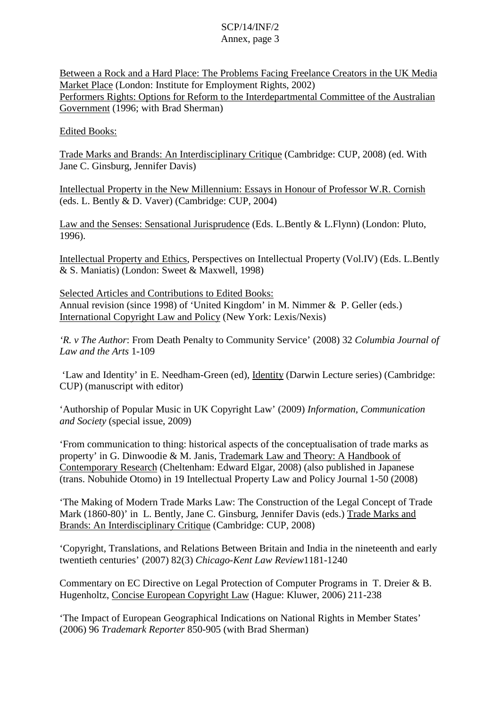Between a Rock and a Hard Place: The Problems Facing Freelance Creators in the UK Media Market Place (London: Institute for Employment Rights, 2002) Performers Rights: Options for Reform to the Interdepartmental Committee of the Australian Government (1996; with Brad Sherman)

## Edited Books:

Trade Marks and Brands: An Interdisciplinary Critique (Cambridge: CUP, 2008) (ed. With Jane C. Ginsburg, Jennifer Davis)

Intellectual Property in the New Millennium: Essays in Honour of Professor W.R. Cornish (eds. L. Bently & D. Vaver) (Cambridge: CUP, 2004)

Law and the Senses: Sensational Jurisprudence (Eds. L.Bently & L.Flynn) (London: Pluto, 1996).

Intellectual Property and Ethics, Perspectives on Intellectual Property (Vol.IV) (Eds. L.Bently & S. Maniatis) (London: Sweet & Maxwell, 1998)

Selected Articles and Contributions to Edited Books: Annual revision (since 1998) of 'United Kingdom' in M. Nimmer & P. Geller (eds.) International Copyright Law and Policy (New York: Lexis/Nexis)

*'R. v The Author*: From Death Penalty to Community Service' (2008) 32 *Columbia Journal of Law and the Arts* 1-109

'Law and Identity' in E. Needham-Green (ed), Identity (Darwin Lecture series) (Cambridge: CUP) (manuscript with editor)

'Authorship of Popular Music in UK Copyright Law' (2009) *Information, Communication and Society* (special issue, 2009)

'From communication to thing: historical aspects of the conceptualisation of trade marks as property' in G. Dinwoodie & M. Janis, Trademark Law and Theory: A Handbook of Contemporary Research (Cheltenham: Edward Elgar, 2008) (also published in Japanese (trans. Nobuhide Otomo) in 19 Intellectual Property Law and Policy Journal 1-50 (2008)

'The Making of Modern Trade Marks Law: The Construction of the Legal Concept of Trade Mark (1860-80)' in L. Bently, Jane C. Ginsburg, Jennifer Davis (eds.) Trade Marks and Brands: An Interdisciplinary Critique (Cambridge: CUP, 2008)

'Copyright, Translations, and Relations Between Britain and India in the nineteenth and early twentieth centuries' (2007) 82(3) *Chicago-Kent Law Review*1181-1240

Commentary on EC Directive on Legal Protection of Computer Programs in T. Dreier & B. Hugenholtz, Concise European Copyright Law (Hague: Kluwer, 2006) 211-238

'The Impact of European Geographical Indications on National Rights in Member States' (2006) 96 *Trademark Reporter* 850-905 (with Brad Sherman)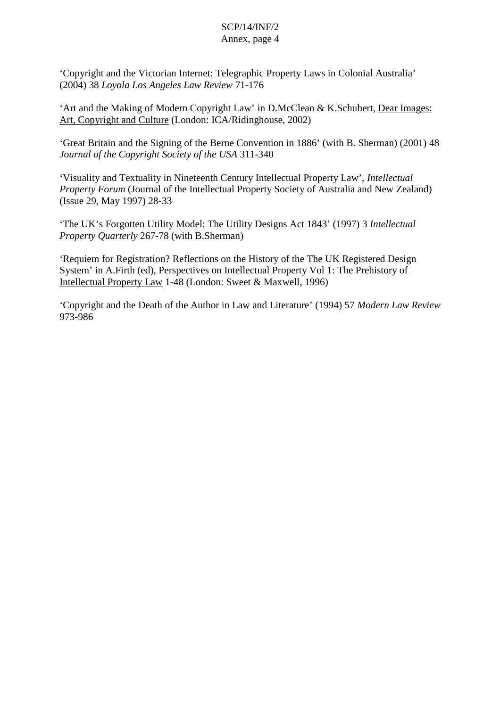'Copyright and the Victorian Internet: Telegraphic Property Laws in Colonial Australia' (2004) 38 *Loyola Los Angeles Law Review* 71-176

'Art and the Making of Modern Copyright Law' in D.McClean & K.Schubert, Dear Images: Art, Copyright and Culture (London: ICA/Ridinghouse, 2002)

'Great Britain and the Signing of the Berne Convention in 1886' (with B. Sherman) (2001) 48 *Journal of the Copyright Society of the USA* 311-340

'Visuality and Textuality in Nineteenth Century Intellectual Property Law', *Intellectual Property Forum* (Journal of the Intellectual Property Society of Australia and New Zealand) (Issue 29, May 1997) 28-33

'The UK's Forgotten Utility Model: The Utility Designs Act 1843' (1997) 3 *Intellectual Property Quarterly* 267-78 (with B.Sherman)

'Requiem for Registration? Reflections on the History of the The UK Registered Design System' in A.Firth (ed), Perspectives on Intellectual Property Vol 1: The Prehistory of Intellectual Property Law 1-48 (London: Sweet & Maxwell, 1996)

'Copyright and the Death of the Author in Law and Literature' (1994) 57 *Modern Law Review* 973-986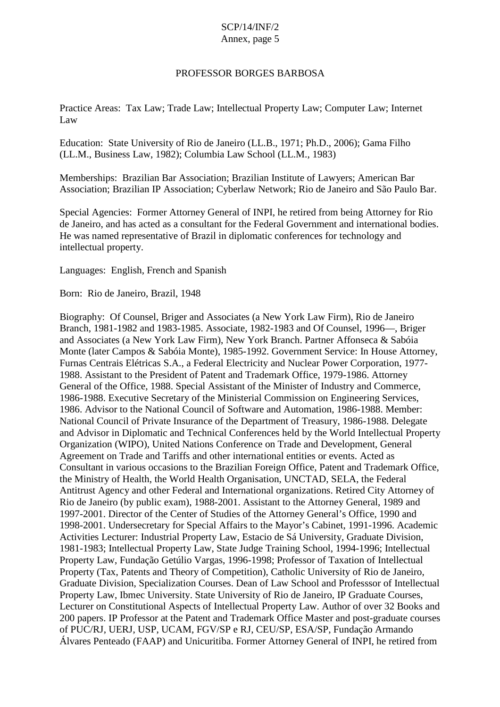### PROFESSOR BORGES BARBOSA

Practice Areas: Tax Law; Trade Law; Intellectual Property Law; Computer Law; Internet Law

Education: State University of Rio de Janeiro (LL.B., 1971; Ph.D., 2006); Gama Filho (LL.M., Business Law, 1982); Columbia Law School (LL.M., 1983)

Memberships: Brazilian Bar Association; Brazilian Institute of Lawyers; American Bar Association; Brazilian IP Association; Cyberlaw Network; Rio de Janeiro and São Paulo Bar.

Special Agencies: Former Attorney General of INPI, he retired from being Attorney for Rio de Janeiro, and has acted as a consultant for the Federal Government and international bodies. He was named representative of Brazil in diplomatic conferences for technology and intellectual property.

Languages: English, French and Spanish

Born: Rio de Janeiro, Brazil, 1948

Biography: Of Counsel, Briger and Associates (a New York Law Firm), Rio de Janeiro Branch, 1981-1982 and 1983-1985. Associate, 1982-1983 and Of Counsel, 1996—, Briger and Associates (a New York Law Firm), New York Branch. Partner Affonseca & Sabóia Monte (later Campos & Sabóia Monte), 1985-1992. Government Service: In House Attorney, Furnas Centrais Elétricas S.A., a Federal Electricity and Nuclear Power Corporation, 1977- 1988. Assistant to the President of Patent and Trademark Office, 1979-1986. Attorney General of the Office, 1988. Special Assistant of the Minister of Industry and Commerce, 1986-1988. Executive Secretary of the Ministerial Commission on Engineering Services, 1986. Advisor to the National Council of Software and Automation, 1986-1988. Member: National Council of Private Insurance of the Department of Treasury, 1986-1988. Delegate and Advisor in Diplomatic and Technical Conferences held by the World Intellectual Property Organization (WIPO), United Nations Conference on Trade and Development, General Agreement on Trade and Tariffs and other international entities or events. Acted as Consultant in various occasions to the Brazilian Foreign Office, Patent and Trademark Office, the Ministry of Health, the World Health Organisation, UNCTAD, SELA, the Federal Antitrust Agency and other Federal and International organizations. Retired City Attorney of Rio de Janeiro (by public exam), 1988-2001. Assistant to the Attorney General, 1989 and 1997-2001. Director of the Center of Studies of the Attorney General's Office, 1990 and 1998-2001. Undersecretary for Special Affairs to the Mayor's Cabinet, 1991-1996. Academic Activities Lecturer: Industrial Property Law, Estacio de Sá University, Graduate Division, 1981-1983; Intellectual Property Law, State Judge Training School, 1994-1996; Intellectual Property Law, Fundação Getúlio Vargas, 1996-1998; Professor of Taxation of Intellectual Property (Tax, Patents and Theory of Competition), Catholic University of Rio de Janeiro, Graduate Division, Specialization Courses. Dean of Law School and Professsor of Intellectual Property Law, Ibmec University. State University of Rio de Janeiro, IP Graduate Courses, Lecturer on Constitutional Aspects of Intellectual Property Law. Author of over 32 Books and 200 papers. IP Professor at the Patent and Trademark Office Master and post-graduate courses of PUC/RJ, UERJ, USP, UCAM, FGV/SP e RJ, CEU/SP, ESA/SP, Fundação Armando Álvares Penteado (FAAP) and Unicuritiba. Former Attorney General of INPI, he retired from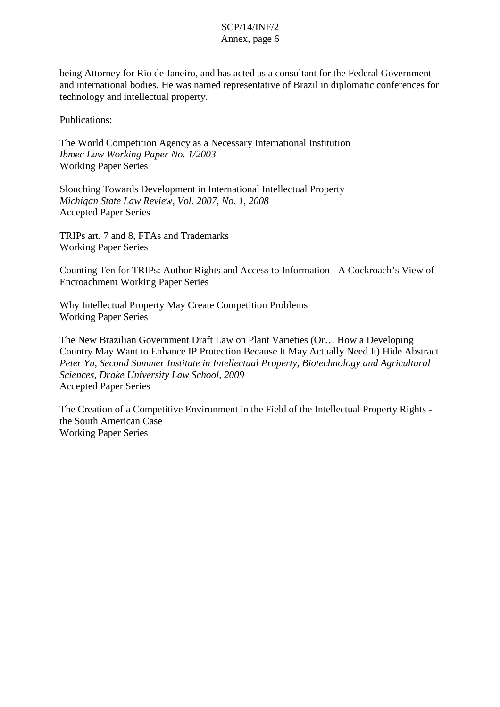being Attorney for Rio de Janeiro, and has acted as a consultant for the Federal Government and international bodies. He was named representative of Brazil in diplomatic conferences for technology and intellectual property.

Publications:

The World Competition Agency as a Necessary International Institution *Ibmec Law Working Paper No. 1/2003* Working Paper Series

Slouching Towards Development in International Intellectual Property *Michigan State Law Review, Vol. 2007, No. 1, 2008* Accepted Paper Series

TRIPs art. 7 and 8, FTAs and Trademarks Working Paper Series

Counting Ten for TRIPs: Author Rights and Access to Information - A Cockroach's View of Encroachment Working Paper Series

Why Intellectual Property May Create Competition Problems Working Paper Series

The New Brazilian Government Draft Law on Plant Varieties (Or… How a Developing Country May Want to Enhance IP Protection Because It May Actually Need It) Hide Abstract *Peter Yu, Second Summer Institute in Intellectual Property, Biotechnology and Agricultural Sciences, Drake University Law School, 2009* Accepted Paper Series

The Creation of a Competitive Environment in the Field of the Intellectual Property Rights the South American Case Working Paper Series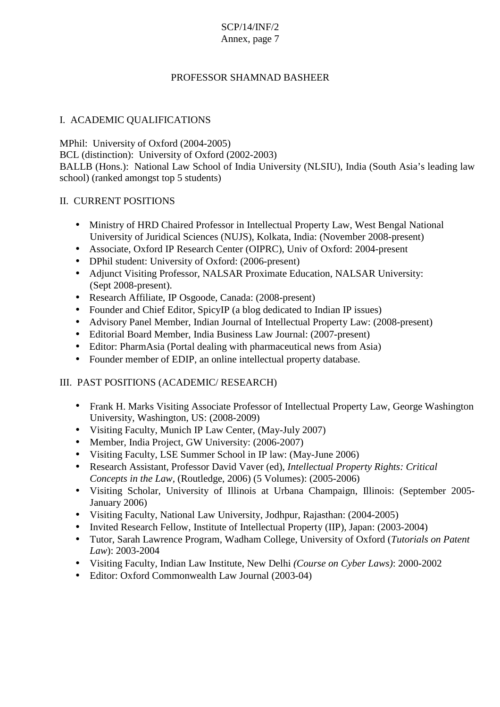# PROFESSOR SHAMNAD BASHEER

## I. ACADEMIC QUALIFICATIONS

MPhil: University of Oxford (2004-2005) BCL (distinction): University of Oxford (2002-2003) BALLB (Hons.): National Law School of India University (NLSIU), India (South Asia's leading law school) (ranked amongst top 5 students)

## II. CURRENT POSITIONS

- Ministry of HRD Chaired Professor in Intellectual Property Law, West Bengal National University of Juridical Sciences (NUJS), Kolkata, India: (November 2008-present)
- Associate, Oxford IP Research Center (OIPRC), Univ of Oxford: 2004-present
- DPhil student: University of Oxford: (2006-present)
- Adjunct Visiting Professor, NALSAR Proximate Education, NALSAR University: (Sept 2008-present).
- Research Affiliate, IP Osgoode, Canada: (2008-present)
- Founder and Chief Editor, SpicyIP (a blog dedicated to Indian IP issues)
- Advisory Panel Member, Indian Journal of Intellectual Property Law: (2008-present)
- Editorial Board Member, India Business Law Journal: (2007-present)
- Editor: PharmAsia (Portal dealing with pharmaceutical news from Asia)
- Founder member of EDIP, an online intellectual property database.

## III. PAST POSITIONS (ACADEMIC/ RESEARCH)

- Frank H. Marks Visiting Associate Professor of Intellectual Property Law, George Washington University, Washington, US: (2008-2009)
- Visiting Faculty, Munich IP Law Center, (May-July 2007)
- Member, India Project, GW University: (2006-2007)
- Visiting Faculty, LSE Summer School in IP law: (May-June 2006)
- Research Assistant, Professor David Vaver (ed), *Intellectual Property Rights: Critical Concepts in the Law,* (Routledge, 2006) (5 Volumes): (2005-2006)
- Visiting Scholar, University of Illinois at Urbana Champaign, Illinois: (September 2005- January 2006)
- Visiting Faculty, National Law University, Jodhpur, Rajasthan: (2004-2005)
- Invited Research Fellow, Institute of Intellectual Property (IIP), Japan: (2003-2004)
- Tutor, Sarah Lawrence Program, Wadham College, University of Oxford (*Tutorials on Patent Law*): 2003-2004
- Visiting Faculty, Indian Law Institute, New Delhi *(Course on Cyber Laws)*: 2000-2002
- Editor: Oxford Commonwealth Law Journal (2003-04)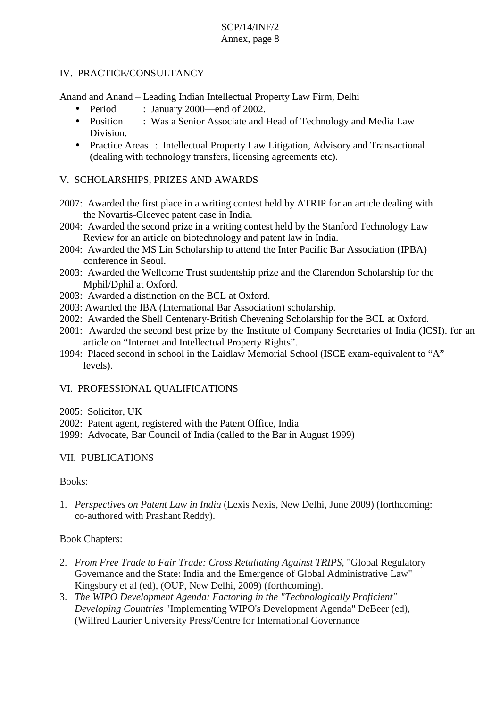## IV. PRACTICE/CONSULTANCY

Anand and Anand – Leading Indian Intellectual Property Law Firm, Delhi

- Period : January 2000—end of 2002.
- Position : Was a Senior Associate and Head of Technology and Media Law Division.
- Practice Areas : Intellectual Property Law Litigation, Advisory and Transactional (dealing with technology transfers, licensing agreements etc).

## V. SCHOLARSHIPS, PRIZES AND AWARDS

- 2007: Awarded the first place in a writing contest held by ATRIP for an article dealing with the Novartis-Gleevec patent case in India.
- 2004: Awarded the second prize in a writing contest held by the Stanford Technology Law Review for an article on biotechnology and patent law in India.
- 2004: Awarded the MS Lin Scholarship to attend the Inter Pacific Bar Association (IPBA) conference in Seoul.
- 2003: Awarded the Wellcome Trust studentship prize and the Clarendon Scholarship for the Mphil/Dphil at Oxford.
- 2003: Awarded a distinction on the BCL at Oxford.
- 2003: Awarded the IBA (International Bar Association) scholarship.
- 2002: Awarded the Shell Centenary-British Chevening Scholarship for the BCL at Oxford.
- 2001: Awarded the second best prize by the Institute of Company Secretaries of India (ICSI). for an article on "Internet and Intellectual Property Rights".
- 1994: Placed second in school in the Laidlaw Memorial School (ISCE exam-equivalent to "A" levels).

## VI. PROFESSIONAL QUALIFICATIONS

- 2005: Solicitor, UK
- 2002: Patent agent, registered with the Patent Office, India
- 1999: Advocate, Bar Council of India (called to the Bar in August 1999)

## VII. PUBLICATIONS

### Books:

1. *Perspectives on Patent Law in India* (Lexis Nexis, New Delhi, June 2009) (forthcoming: co-authored with Prashant Reddy).

### Book Chapters:

- 2. *From Free Trade to Fair Trade: Cross Retaliating Against TRIPS*, "Global Regulatory Governance and the State: India and the Emergence of Global Administrative Law" Kingsbury et al (ed), (OUP, New Delhi, 2009) (forthcoming).
- 3. *The WIPO Development Agenda: Factoring in the "Technologically Proficient" Developing Countries* "Implementing WIPO's Development Agenda" DeBeer (ed), (Wilfred Laurier University Press/Centre for International Governance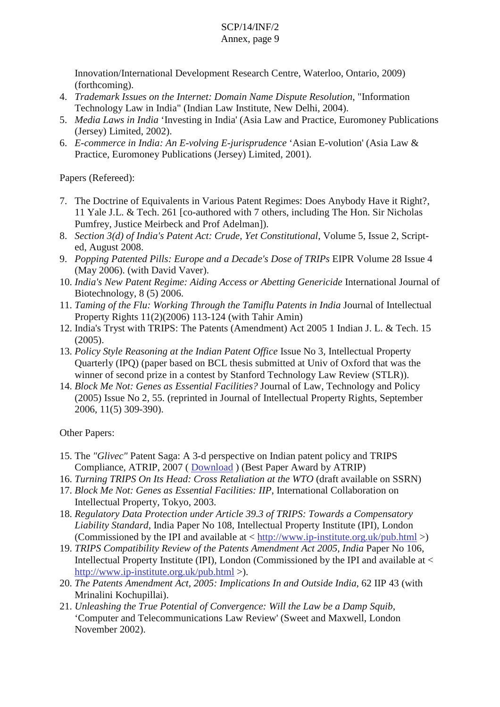## Innovation/International Development Research Centre, Waterloo, Ontario, 2009) (forthcoming).

- 4. *Trademark Issues on the Internet: Domain Name Dispute Resolution*, "Information Technology Law in India" (Indian Law Institute, New Delhi, 2004).
- 5. *Media Laws in India* 'Investing in India' (Asia Law and Practice, Euromoney Publications (Jersey) Limited, 2002).
- 6. *E-commerce in India: An E-volving E-jurisprudence* 'Asian E-volution' (Asia Law & Practice, Euromoney Publications (Jersey) Limited, 2001).

Papers (Refereed):

- 7. The Doctrine of Equivalents in Various Patent Regimes: Does Anybody Have it Right?, 11 Yale J.L. & Tech. 261 [co-authored with 7 others, including The Hon. Sir Nicholas Pumfrey, Justice Meirbeck and Prof Adelman]).
- 8. *Section 3(d) of India's Patent Act: Crude, Yet Constitutional*, Volume 5, Issue 2, Scripted, August 2008.
- 9. *Popping Patented Pills: Europe and a Decade's Dose of TRIPs* EIPR Volume 28 Issue 4 (May 2006). (with David Vaver).
- 10. *India's New Patent Regime: Aiding Access or Abetting Genericide* International Journal of Biotechnology, 8 (5) 2006.
- 11. *Taming of the Flu: Working Through the Tamiflu Patents in India* Journal of Intellectual Property Rights 11(2)(2006) 113-124 (with Tahir Amin)
- 12. India's Tryst with TRIPS: The Patents (Amendment) Act 2005 1 Indian J. L. & Tech. 15 (2005).
- 13. *Policy Style Reasoning at the Indian Patent Office* Issue No 3, Intellectual Property Quarterly (IPQ) (paper based on BCL thesis submitted at Univ of Oxford that was the winner of second prize in a contest by Stanford Technology Law Review (STLR)).
- 14. *Block Me Not: Genes as Essential Facilities?* Journal of Law, Technology and Policy (2005) Issue No 2, 55. (reprinted in Journal of Intellectual Property Rights, September 2006, 11(5) 309-390).

Other Papers:

- 15. The *"Glivec"* Patent Saga: A 3-d perspective on Indian patent policy and TRIPS Compliance, ATRIP, 2007 ( Download ) (Best Paper Award by ATRIP)
- 16. *Turning TRIPS On Its Head: Cross Retaliation at the WTO* (draft available on SSRN)
- 17. *Block Me Not: Genes as Essential Facilities: IIP*, International Collaboration on Intellectual Property, Tokyo, 2003.
- 18. *Regulatory Data Protection under Article 39.3 of TRIPS: Towards a Compensatory Liability Standard*, India Paper No 108, Intellectual Property Institute (IPI), London (Commissioned by the IPI and available at < http://www.ip-institute.org.uk/pub.html >)
- 19. *TRIPS Compatibility Review of the Patents Amendment Act 2005, India* Paper No 106, Intellectual Property Institute (IPI), London (Commissioned by the IPI and available at  $\lt$ http://www.ip-institute.org.uk/pub.html >).
- 20. *The Patents Amendment Act, 2005: Implications In and Outside India*, 62 IIP 43 (with Mrinalini Kochupillai).
- 21. *Unleashing the True Potential of Convergence: Will the Law be a Damp Squib*, 'Computer and Telecommunications Law Review' (Sweet and Maxwell, London November 2002).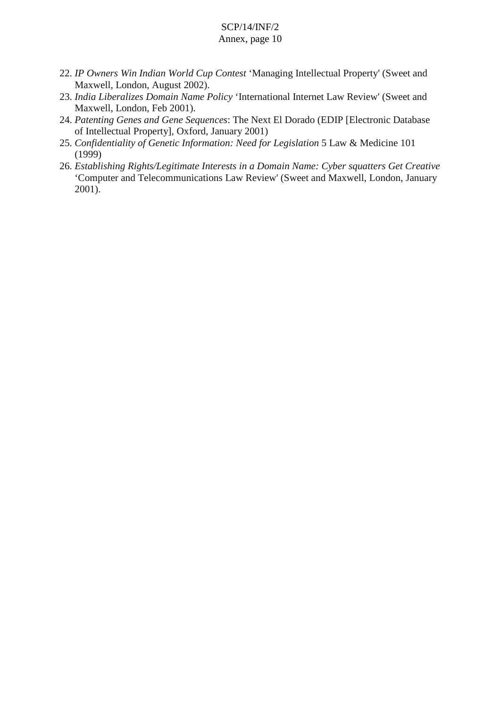- 22. *IP Owners Win Indian World Cup Contest* 'Managing Intellectual Property' (Sweet and Maxwell, London, August 2002).
- 23. *India Liberalizes Domain Name Policy* 'International Internet Law Review' (Sweet and Maxwell, London, Feb 2001).
- 24. *Patenting Genes and Gene Sequences*: The Next El Dorado (EDIP [Electronic Database of Intellectual Property], Oxford, January 2001)
- 25. *Confidentiality of Genetic Information: Need for Legislation* 5 Law & Medicine 101 (1999)
- 26. *Establishing Rights/Legitimate Interests in a Domain Name: Cyber squatters Get Creative* 'Computer and Telecommunications Law Review' (Sweet and Maxwell, London, January 2001).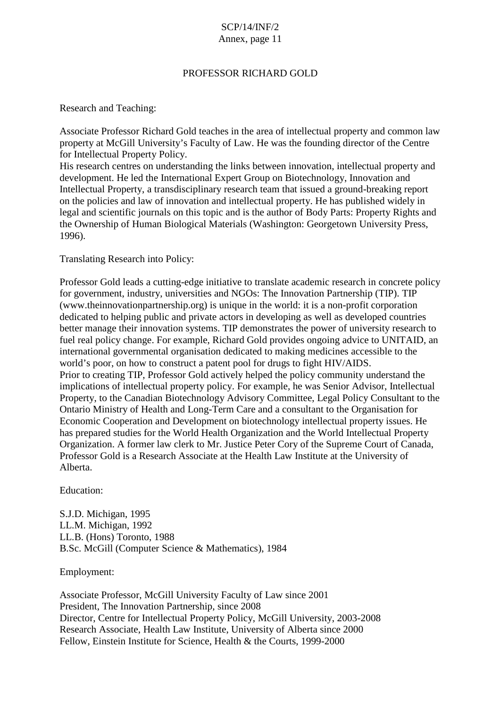## PROFESSOR RICHARD GOLD

Research and Teaching:

Associate Professor Richard Gold teaches in the area of intellectual property and common law property at McGill University's Faculty of Law. He was the founding director of the Centre for Intellectual Property Policy.

His research centres on understanding the links between innovation, intellectual property and development. He led the International Expert Group on Biotechnology, Innovation and Intellectual Property, a transdisciplinary research team that issued a ground-breaking report on the policies and law of innovation and intellectual property. He has published widely in legal and scientific journals on this topic and is the author of Body Parts: Property Rights and the Ownership of Human Biological Materials (Washington: Georgetown University Press, 1996).

Translating Research into Policy:

Professor Gold leads a cutting-edge initiative to translate academic research in concrete policy for government, industry, universities and NGOs: The Innovation Partnership (TIP). TIP (www.theinnovationpartnership.org) is unique in the world: it is a non-profit corporation dedicated to helping public and private actors in developing as well as developed countries better manage their innovation systems. TIP demonstrates the power of university research to fuel real policy change. For example, Richard Gold provides ongoing advice to UNITAID, an international governmental organisation dedicated to making medicines accessible to the world's poor, on how to construct a patent pool for drugs to fight HIV/AIDS. Prior to creating TIP, Professor Gold actively helped the policy community understand the implications of intellectual property policy. For example, he was Senior Advisor, Intellectual Property, to the Canadian Biotechnology Advisory Committee, Legal Policy Consultant to the Ontario Ministry of Health and Long-Term Care and a consultant to the Organisation for Economic Cooperation and Development on biotechnology intellectual property issues. He has prepared studies for the World Health Organization and the World Intellectual Property Organization. A former law clerk to Mr. Justice Peter Cory of the Supreme Court of Canada, Professor Gold is a Research Associate at the Health Law Institute at the University of Alberta.

Education:

S.J.D. Michigan, 1995 LL.M. Michigan, 1992 LL.B. (Hons) Toronto, 1988 B.Sc. McGill (Computer Science & Mathematics), 1984

Employment:

Associate Professor, McGill University Faculty of Law since 2001 President, The Innovation Partnership, since 2008 Director, Centre for Intellectual Property Policy, McGill University, 2003-2008 Research Associate, Health Law Institute, University of Alberta since 2000 Fellow, Einstein Institute for Science, Health & the Courts, 1999-2000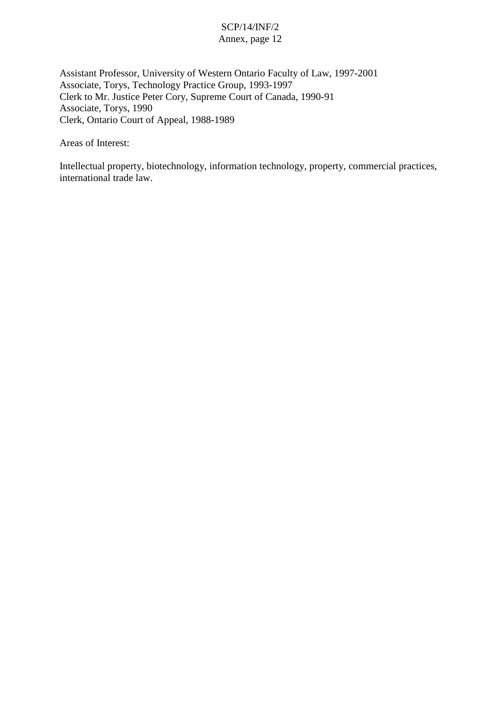Assistant Professor, University of Western Ontario Faculty of Law, 1997-2001 Associate, Torys, Technology Practice Group, 1993-1997 Clerk to Mr. Justice Peter Cory, Supreme Court of Canada, 1990-91 Associate, Torys, 1990 Clerk, Ontario Court of Appeal, 1988-1989

Areas of Interest:

Intellectual property, biotechnology, information technology, property, commercial practices, international trade law.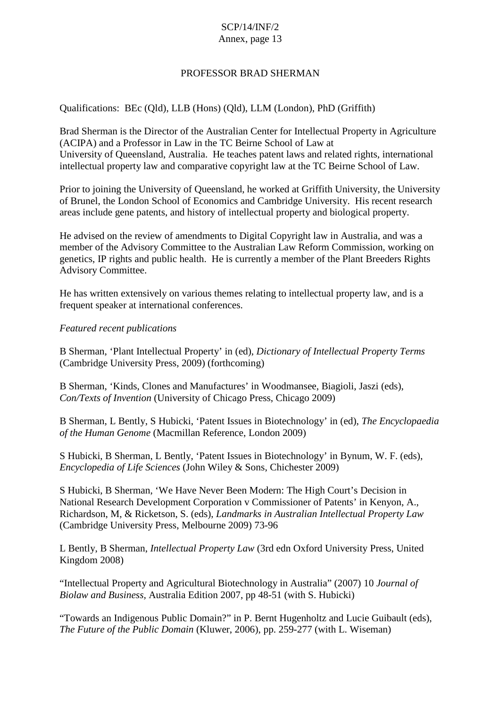## PROFESSOR BRAD SHERMAN

## Qualifications: BEc (Qld), LLB (Hons) (Qld), LLM (London), PhD (Griffith)

Brad Sherman is the Director of the Australian Center for Intellectual Property in Agriculture (ACIPA) and a Professor in Law in the TC Beirne School of Law at University of Queensland, Australia. He teaches patent laws and related rights, international intellectual property law and comparative copyright law at the TC Beirne School of Law.

Prior to joining the University of Queensland, he worked at Griffith University, the University of Brunel, the London School of Economics and Cambridge University. His recent research areas include gene patents, and history of intellectual property and biological property.

He advised on the review of amendments to Digital Copyright law in Australia, and was a member of the Advisory Committee to the Australian Law Reform Commission, working on genetics, IP rights and public health. He is currently a member of the Plant Breeders Rights Advisory Committee.

He has written extensively on various themes relating to intellectual property law, and is a frequent speaker at international conferences.

*Featured recent publications*

B Sherman, 'Plant Intellectual Property' in (ed), *Dictionary of Intellectual Property Terms* (Cambridge University Press, 2009) (forthcoming)

B Sherman, 'Kinds, Clones and Manufactures' in Woodmansee, Biagioli, Jaszi (eds), *Con/Texts of Invention* (University of Chicago Press, Chicago 2009)

B Sherman, L Bently, S Hubicki, 'Patent Issues in Biotechnology' in (ed), *The Encyclopaedia of the Human Genome* (Macmillan Reference, London 2009)

S Hubicki, B Sherman, L Bently, 'Patent Issues in Biotechnology' in Bynum, W. F. (eds), *Encyclopedia of Life Sciences* (John Wiley & Sons, Chichester 2009)

S Hubicki, B Sherman, 'We Have Never Been Modern: The High Court's Decision in National Research Development Corporation v Commissioner of Patents' in Kenyon, A., Richardson, M, & Ricketson, S. (eds), *Landmarks in Australian Intellectual Property Law* (Cambridge University Press, Melbourne 2009) 73-96

L Bently, B Sherman, *Intellectual Property Law* (3rd edn Oxford University Press, United Kingdom 2008)

"Intellectual Property and Agricultural Biotechnology in Australia" (2007) 10 *Journal of Biolaw and Business,* Australia Edition 2007, pp 48-51 (with S. Hubicki)

"Towards an Indigenous Public Domain?" in P. Bernt Hugenholtz and Lucie Guibault (eds), *The Future of the Public Domain* (Kluwer, 2006), pp. 259-277 (with L. Wiseman)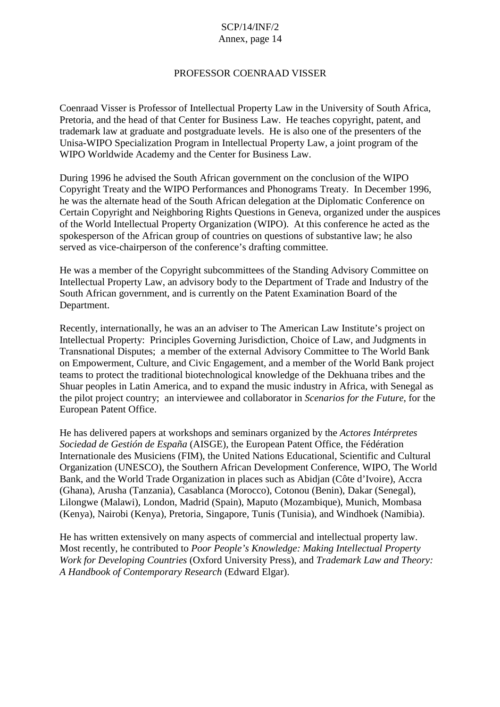### PROFESSOR COENRAAD VISSER

Coenraad Visser is Professor of Intellectual Property Law in the University of South Africa, Pretoria, and the head of that Center for Business Law. He teaches copyright, patent, and trademark law at graduate and postgraduate levels. He is also one of the presenters of the Unisa-WIPO Specialization Program in Intellectual Property Law, a joint program of the WIPO Worldwide Academy and the Center for Business Law.

During 1996 he advised the South African government on the conclusion of the WIPO Copyright Treaty and the WIPO Performances and Phonograms Treaty. In December 1996, he was the alternate head of the South African delegation at the Diplomatic Conference on Certain Copyright and Neighboring Rights Questions in Geneva, organized under the auspices of the World Intellectual Property Organization (WIPO). At this conference he acted as the spokesperson of the African group of countries on questions of substantive law; he also served as vice-chairperson of the conference's drafting committee.

He was a member of the Copyright subcommittees of the Standing Advisory Committee on Intellectual Property Law, an advisory body to the Department of Trade and Industry of the South African government, and is currently on the Patent Examination Board of the Department.

Recently, internationally, he was an an adviser to The American Law Institute's project on Intellectual Property: Principles Governing Jurisdiction, Choice of Law, and Judgments in Transnational Disputes; a member of the external Advisory Committee to The World Bank on Empowerment, Culture, and Civic Engagement, and a member of the World Bank project teams to protect the traditional biotechnological knowledge of the Dekhuana tribes and the Shuar peoples in Latin America, and to expand the music industry in Africa, with Senegal as the pilot project country; an interviewee and collaborator in *Scenarios for the Future*, for the European Patent Office.

He has delivered papers at workshops and seminars organized by the *Actores Intérpretes Sociedad de Gestión de España* (AISGE), the European Patent Office, the Fédération Internationale des Musiciens (FIM), the United Nations Educational, Scientific and Cultural Organization (UNESCO), the Southern African Development Conference, WIPO, The World Bank, and the World Trade Organization in places such as Abidjan (Côte d'Ivoire), Accra (Ghana), Arusha (Tanzania), Casablanca (Morocco), Cotonou (Benin), Dakar (Senegal), Lilongwe (Malawi), London, Madrid (Spain), Maputo (Mozambique), Munich, Mombasa (Kenya), Nairobi (Kenya), Pretoria, Singapore, Tunis (Tunisia), and Windhoek (Namibia).

He has written extensively on many aspects of commercial and intellectual property law. Most recently, he contributed to *Poor People's Knowledge: Making Intellectual Property Work for Developing Countries* (Oxford University Press), and *Trademark Law and Theory: A Handbook of Contemporary Research* (Edward Elgar).